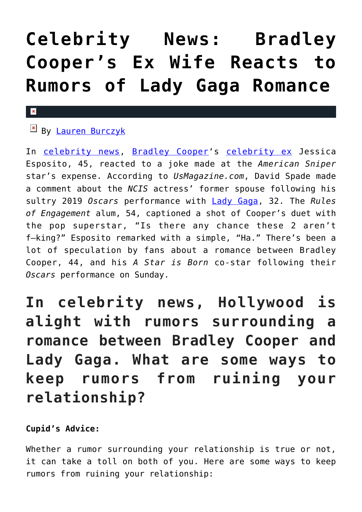## **[Celebrity News: Bradley](https://cupidspulse.com/129035/celebrity-news-bradley-cooper-ex-wife-reacts-rumors-lady-gaga-romance/) [Cooper's Ex Wife Reacts to](https://cupidspulse.com/129035/celebrity-news-bradley-cooper-ex-wife-reacts-rumors-lady-gaga-romance/) [Rumors of Lady Gaga Romance](https://cupidspulse.com/129035/celebrity-news-bradley-cooper-ex-wife-reacts-rumors-lady-gaga-romance/)**

## $\pmb{\times}$

## By [Lauren Burczyk](http://cupidspulse.com/128283/lauren-burczyk/)

In [celebrity news](http://cupidspulse.com/celebrity-news/), [Bradley Cooper](http://cupidspulse.com/87043/bradley-cooper/)'s [celebrity ex](http://cupidspulse.com/celebrity-news/celebrity-break-ups/) Jessica Esposito, 45, reacted to a joke made at the *American Sniper* star's expense. According to *UsMagazine.com*, David Spade made a comment about the *NCIS* actress' former spouse following his sultry 2019 *Oscars* performance with [Lady Gaga,](http://cupidspulse.com/88125/lady-gaga/) 32. The *Rules of Engagement* alum, 54, captioned a shot of Cooper's duet with the pop superstar, "Is there any chance these 2 aren't f–king?" Esposito remarked with a simple, "Ha." There's been a lot of speculation by fans about a romance between Bradley Cooper, 44, and his *A Star is Born* co-star following their *Oscars* performance on Sunday.

**In celebrity news, Hollywood is alight with rumors surrounding a romance between Bradley Cooper and Lady Gaga. What are some ways to keep rumors from ruining your relationship?**

## **Cupid's Advice:**

Whether a rumor surrounding your relationship is true or not, it can take a toll on both of you. Here are some ways to keep rumors from ruining your relationship: